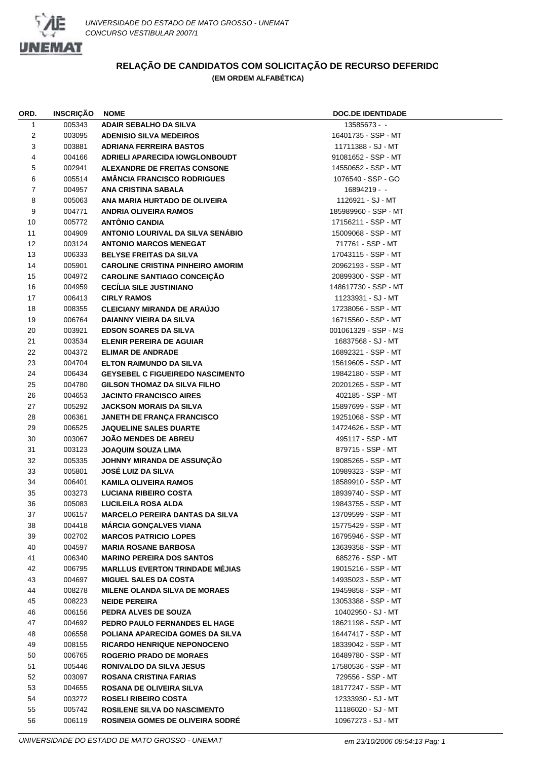

## **RELAÇÃO DE CANDIDATOS COM SOLICITAÇÃO DE RECURSO DEFERIDO (EM ORDEM ALFABÉTICA)**

| ORD.         | <b>INSCRIÇÃO</b> | <b>NOME</b>                              | <b>DOC.DE IDENTIDADE</b> |
|--------------|------------------|------------------------------------------|--------------------------|
| $\mathbf{1}$ | 005343           | ADAIR SEBALHO DA SILVA                   | 13585673 - -             |
| 2            | 003095           | <b>ADENISIO SILVA MEDEIROS</b>           | 16401735 - SSP - MT      |
| 3            | 003881           | <b>ADRIANA FERREIRA BASTOS</b>           | 11711388 - SJ - MT       |
| 4            | 004166           | ADRIELI APARECIDA IOWGLONBOUDT           | 91081652 - SSP - MT      |
| 5            | 002941           | <b>ALEXANDRE DE FREITAS CONSONE</b>      | 14550652 - SSP - MT      |
| 6            | 005514           | <b>AMANCIA FRANCISCO RODRIGUES</b>       | 1076540 - SSP - GO       |
| 7            | 004957           | ANA CRISTINA SABALA                      | $16894219 -$             |
| 8            | 005063           | ANA MARIA HURTADO DE OLIVEIRA            | 1126921 - SJ - MT        |
| 9            | 004771           | <b>ANDRIA OLIVEIRA RAMOS</b>             | 185989960 - SSP - MT     |
| 10           | 005772           | <b>ANTÔNIO CANDIA</b>                    | 17156211 - SSP - MT      |
| 11           | 004909           | ANTONIO LOURIVAL DA SILVA SENÁBIO        | 15009068 - SSP - MT      |
| 12           | 003124           | <b>ANTONIO MARCOS MENEGAT</b>            | 717761 - SSP - MT        |
| 13           | 006333           | <b>BELYSE FREITAS DA SILVA</b>           | 17043115 - SSP - MT      |
| 14           | 005901           | <b>CAROLINE CRISTINA PINHEIRO AMORIM</b> | 20962193 - SSP - MT      |
| 15           | 004972           | <b>CAROLINE SANTIAGO CONCEIÇÃO</b>       | 20899300 - SSP - MT      |
| 16           | 004959           | <b>CECÍLIA SILE JUSTINIANO</b>           | 148617730 - SSP - MT     |
| 17           | 006413           | <b>CIRLY RAMOS</b>                       | 11233931 - SJ - MT       |
| 18           | 008355           | <b>CLEICIANY MIRANDA DE ARAÚJO</b>       | 17238056 - SSP - MT      |
| 19           | 006764           | <b>DAIANNY VIEIRA DA SILVA</b>           | 16715560 - SSP - MT      |
| 20           | 003921           | <b>EDSON SOARES DA SILVA</b>             | 001061329 - SSP - MS     |
| 21           | 003534           | ELENIR PEREIRA DE AGUIAR                 | 16837568 - SJ - MT       |
| 22           | 004372           | <b>ELIMAR DE ANDRADE</b>                 | 16892321 - SSP - MT      |
| 23           | 004704           | <b>ELTON RAIMUNDO DA SILVA</b>           | 15619605 - SSP - MT      |
| 24           | 006434           | <b>GEYSEBEL C FIGUEIREDO NASCIMENTO</b>  | 19842180 - SSP - MT      |
| 25           | 004780           | <b>GILSON THOMAZ DA SILVA FILHO</b>      | 20201265 - SSP - MT      |
| 26           | 004653           | <b>JACINTO FRANCISCO AIRES</b>           | 402185 - SSP - MT        |
| 27           | 005292           | <b>JACKSON MORAIS DA SILVA</b>           | 15897699 - SSP - MT      |
| 28           | 006361           | <b>JANETH DE FRANÇA FRANCISCO</b>        | 19251068 - SSP - MT      |
| 29           | 006525           | <b>JAQUELINE SALES DUARTE</b>            | 14724626 - SSP - MT      |
| 30           | 003067           | <b>JOÃO MENDES DE ABREU</b>              | 495117 - SSP - MT        |
| 31           | 003123           | <b>JOAQUIM SOUZA LIMA</b>                | 879715 - SSP - MT        |
| 32           | 005335           | JOHNNY MIRANDA DE ASSUNÇÃO               | 19085265 - SSP - MT      |
| 33           | 005801           | <b>JOSÉ LUIZ DA SILVA</b>                | 10989323 - SSP - MT      |
| 34           | 006401           | <b>KAMILA OLIVEIRA RAMOS</b>             | 18589910 - SSP - MT      |
| 35           | 003273           | <b>LUCIANA RIBEIRO COSTA</b>             | 18939740 - SSP - MT      |
| 36           | 005083           | LUCILEILA ROSA ALDA                      | 19843755 - SSP - MT      |
| 37           | 006157           | <b>MARCELO PEREIRA DANTAS DA SILVA</b>   | 13709599 - SSP - MT      |
| 38           | 004418           | <b>MÁRCIA GONÇALVES VIANA</b>            | 15775429 - SSP - MT      |
| 39           | 002702           | <b>MARCOS PATRICIO LOPES</b>             | 16795946 - SSP - MT      |
| 40           | 004597           | <b>MARIA ROSANE BARBOSA</b>              | 13639358 - SSP - MT      |
| 41           | 006340           | <b>MARINO PEREIRA DOS SANTOS</b>         | 685276 - SSP - MT        |
| 42           | 006795           | <b>MARLLUS EVERTON TRINDADE MEJIAS</b>   | 19015216 - SSP - MT      |
| 43           | 004697           | <b>MIGUEL SALES DA COSTA</b>             | 14935023 - SSP - MT      |
| 44           | 008278           | <b>MILENE OLANDA SILVA DE MORAES</b>     | 19459858 - SSP - MT      |
| 45           | 008223           | <b>NEIDE PEREIRA</b>                     | 13053388 - SSP - MT      |
| 46           | 006156           | PEDRA ALVES DE SOUZA                     | 10402950 - SJ - MT       |
| 47           | 004692           | PEDRO PAULO FERNANDES EL HAGE            | 18621198 - SSP - MT      |
| 48           | 006558           | POLIANA APARECIDA GOMES DA SILVA         | 16447417 - SSP - MT      |
| 49           | 008155           | <b>RICARDO HENRIQUE NEPONOCENO</b>       | 18339042 - SSP - MT      |
| 50           | 006765           | <b>ROGERIO PRADO DE MORAES</b>           | 16489780 - SSP - MT      |
| 51           | 005446           | <b>RONIVALDO DA SILVA JESUS</b>          | 17580536 - SSP - MT      |
| 52           | 003097           | ROSANA CRISTINA FARIAS                   | 729556 - SSP - MT        |
| 53           | 004655           | ROSANA DE OLIVEIRA SILVA                 | 18177247 - SSP - MT      |
| 54           | 003272           | <b>ROSELI RIBEIRO COSTA</b>              | 12333930 - SJ - MT       |
| 55           | 005742           | ROSILENE SILVA DO NASCIMENTO             | 11186020 - SJ - MT       |
| 56           | 006119           | <b>ROSINEIA GOMES DE OLIVEIRA SODRE</b>  | 10967273 - SJ - MT       |
|              |                  |                                          |                          |